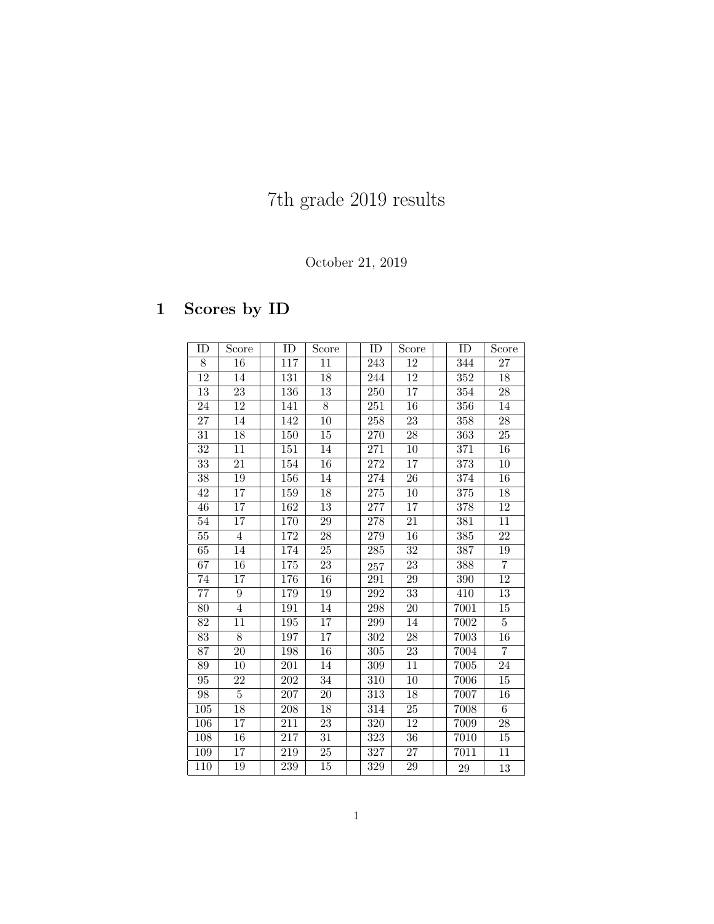# 7th grade 2019 results

### October 21, 2019

## 1 Scores by ID

| ID              | Score           | ID               | Score           | ID               | Score           | ID               | Score           |
|-----------------|-----------------|------------------|-----------------|------------------|-----------------|------------------|-----------------|
| 8               | 16              | 117              | 11              | 243              | 12              | 344              | 27              |
| 12              | 14              | 131              | 18              | 244              | 12              | 352              | 18              |
| 13              | 23              | 136              | 13              | 250              | 17              | 354              | 28              |
| 24              | 12              | 141              | $\overline{8}$  | 251              | 16              | 356              | 14              |
| 27              | 14              | 142              | 10              | 258              | 23              | 358              | 28              |
| 31              | 18              | 150              | 15              | 270              | 28              | 363              | 25              |
| 32              | 11              | 151              | 14              | 271              | 10              | 371              | 16              |
| 33              | 21              | 154              | 16              | 272              | 17              | 373              | 10              |
| 38              | 19              | $\overline{156}$ | 14              | 274              | $\overline{26}$ | $\overline{374}$ | $16\,$          |
| 42              | $\overline{17}$ | 159              | 18              | $\overline{275}$ | 10              | $\overline{375}$ | 18              |
| 46              | $\overline{17}$ | $\overline{162}$ | $\overline{13}$ | $\overline{277}$ | 17              | $\overline{378}$ | 12              |
| 54              | 17              | 170              | $\overline{29}$ | 278              | $\overline{21}$ | 381              | 11              |
| $55\,$          | $\overline{4}$  | 172              | $28\,$          | 279              | 16              | 385              | 22              |
| 65              | 14              | 174              | $\overline{25}$ | 285              | $\overline{32}$ | 387              | $19\,$          |
| $\overline{67}$ | $\overline{16}$ | 175              | $\overline{23}$ | 257              | 23              | 388              | $\overline{7}$  |
| $74\,$          | 17              | 176              | $\overline{16}$ | 291              | 29              | 390              | 12              |
| $\overline{77}$ | $\overline{9}$  | 179              | 19              | 292              | $\overline{33}$ | 410              | 13              |
| 80              | $\overline{4}$  | 191              | 14              | 298              | 20              | 7001             | 15              |
| 82              | 11              | 195              | 17              | 299              | 14              | 7002             | $\overline{5}$  |
| 83              | $\overline{8}$  | 197              | 17              | 302              | 28              | 7003             | 16              |
| 87              | $\overline{20}$ | 198              | 16              | 305              | 23              | 7004             | $\overline{7}$  |
| 89              | 10              | 201              | 14              | 309              | 11              | 7005             | $\overline{24}$ |
| 95              | 22              | 202              | 34              | 310              | 10              | 7006             | 15              |
| 98              | $\overline{5}$  | 207              | 20              | 313              | 18              | 7007             | 16              |
| 105             | 18              | 208              | 18              | 314              | 25              | 7008             | $6\,$           |
| 106             | 17              | 211              | 23              | 320              | 12              | 7009             | 28              |
| 108             | 16              | 217              | 31              | 323              | 36              | 7010             | 15              |
| 109             | $\overline{1}7$ | 219              | 25              | 327              | 27              | 7011             | 11              |
| 110             | 19              | 239              | 15              | 329              | 29              | 29               | 13              |